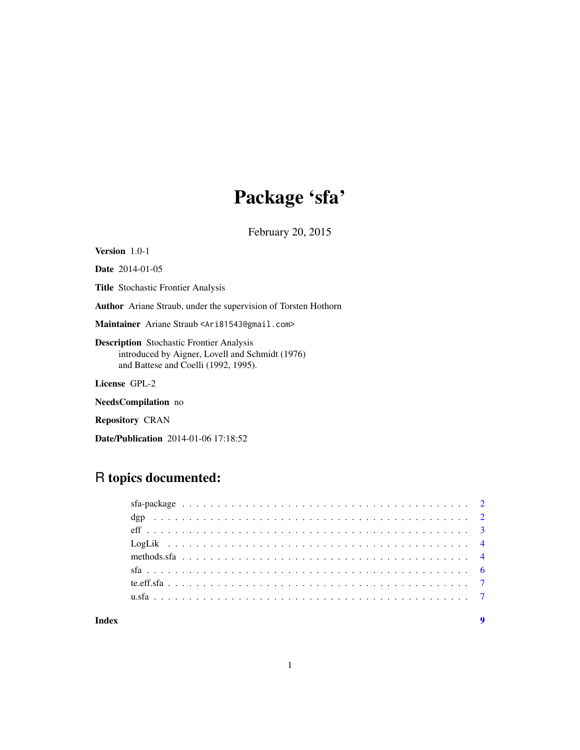# Package 'sfa'

February 20, 2015

<span id="page-0-0"></span>Version 1.0-1

Date 2014-01-05

Title Stochastic Frontier Analysis

Author Ariane Straub, under the supervision of Torsten Hothorn

Maintainer Ariane Straub <Ari81543@gmail.com>

Description Stochastic Frontier Analysis introduced by Aigner, Lovell and Schmidt (1976) and Battese and Coelli (1992, 1995).

License GPL-2

NeedsCompilation no

Repository CRAN

Date/Publication 2014-01-06 17:18:52

# R topics documented:

| Index |  |  |  |  |  |  |  |  |  |  |  |  |  |  |  |  |  |  |
|-------|--|--|--|--|--|--|--|--|--|--|--|--|--|--|--|--|--|--|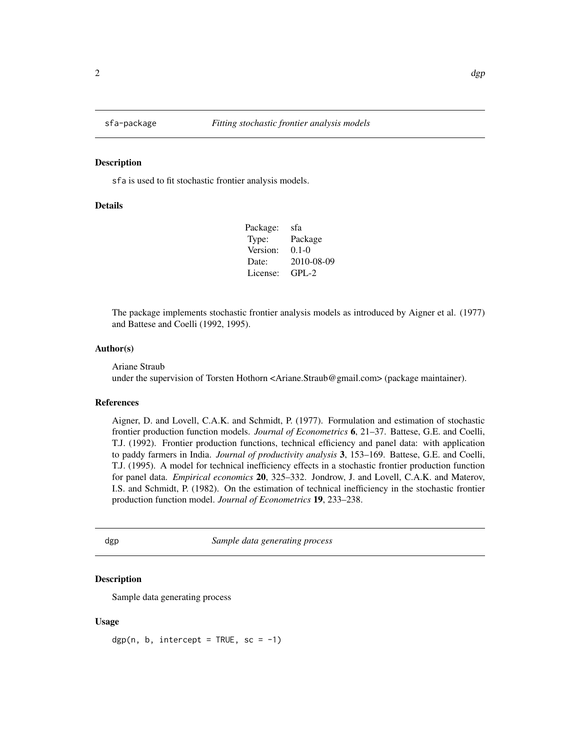<span id="page-1-0"></span>

#### Description

sfa is used to fit stochastic frontier analysis models.

#### Details

| Package: | sfa        |
|----------|------------|
| Type:    | Package    |
| Version: | $0.1 - 0$  |
| Date:    | 2010-08-09 |
| License: | $GPI - 2$  |

The package implements stochastic frontier analysis models as introduced by Aigner et al. (1977) and Battese and Coelli (1992, 1995).

#### Author(s)

Ariane Straub

under the supervision of Torsten Hothorn <Ariane.Straub@gmail.com> (package maintainer).

#### References

Aigner, D. and Lovell, C.A.K. and Schmidt, P. (1977). Formulation and estimation of stochastic frontier production function models. *Journal of Econometrics* 6, 21–37. Battese, G.E. and Coelli, T.J. (1992). Frontier production functions, technical efficiency and panel data: with application to paddy farmers in India. *Journal of productivity analysis* 3, 153–169. Battese, G.E. and Coelli, T.J. (1995). A model for technical inefficiency effects in a stochastic frontier production function for panel data. *Empirical economics* 20, 325–332. Jondrow, J. and Lovell, C.A.K. and Materov, I.S. and Schmidt, P. (1982). On the estimation of technical inefficiency in the stochastic frontier production function model. *Journal of Econometrics* 19, 233–238.

dgp *Sample data generating process*

#### Description

Sample data generating process

#### Usage

 $dgp(n, b, intercept = TRUE, sc = -1)$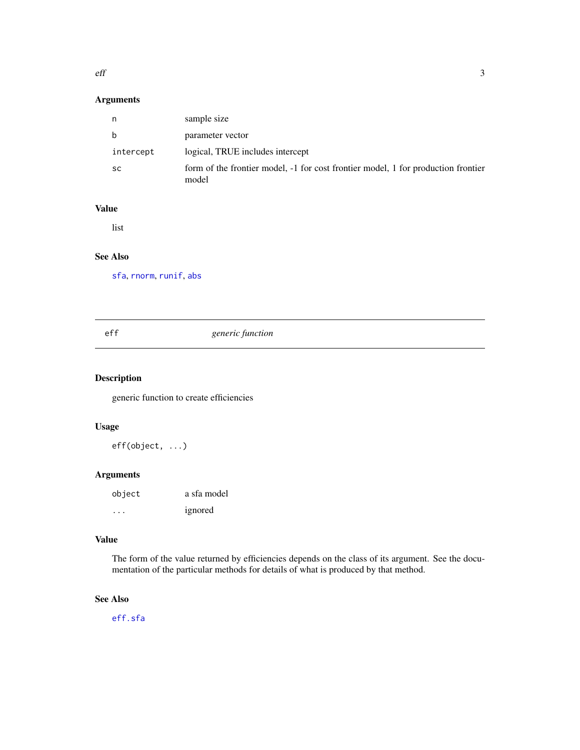#### <span id="page-2-0"></span> $\mathbf{eff}$  3

# Arguments

| n         | sample size                                                                                |
|-----------|--------------------------------------------------------------------------------------------|
| b         | parameter vector                                                                           |
| intercept | logical, TRUE includes intercept                                                           |
| <b>SC</b> | form of the frontier model, -1 for cost frontier model, 1 for production frontier<br>model |

# Value

list

# See Also

[sfa](#page-5-1), [rnorm](#page-0-0), [runif](#page-0-0), [abs](#page-0-0)

# eff *generic function*

#### Description

generic function to create efficiencies

#### Usage

eff(object, ...)

#### Arguments

| object    | a sfa model |
|-----------|-------------|
| $\ddotsc$ | ignored     |

#### Value

The form of the value returned by efficiencies depends on the class of its argument. See the documentation of the particular methods for details of what is produced by that method.

# See Also

[eff.sfa](#page-3-1)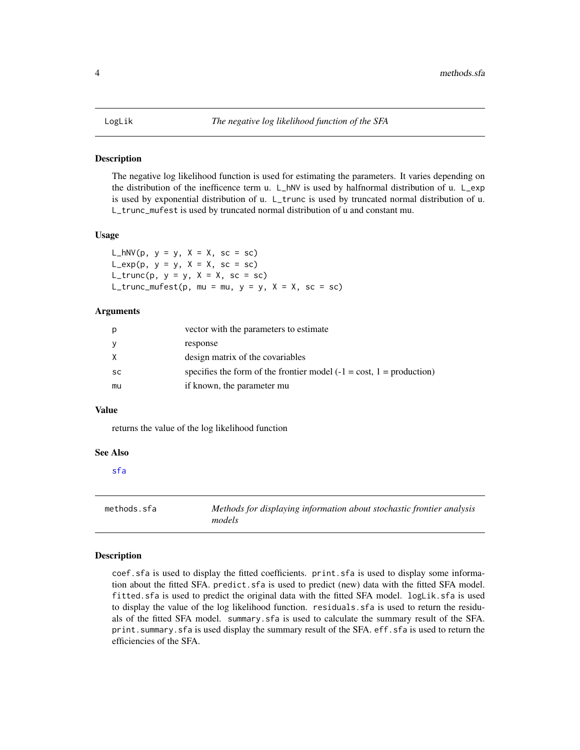#### <span id="page-3-0"></span>Description

The negative log likelihood function is used for estimating the parameters. It varies depending on the distribution of the inefficence term u. L\_hNV is used by halfnormal distribution of u. L\_exp is used by exponential distribution of u. L\_trunc is used by truncated normal distribution of u. L\_trunc\_mufest is used by truncated normal distribution of u and constant mu.

#### Usage

L\_hNV(p,  $y = y$ ,  $X = X$ ,  $\text{sc} = \text{sc}$ )  $L$ <sup> $exp(p, y = y, X = X, sc = sc)$ </sup> L\_trunc(p,  $y = y$ ,  $X = X$ ,  $sc = sc$ ) L\_trunc\_mufest(p, mu = mu,  $y = y$ ,  $X = X$ , sc = sc)

#### Arguments

| р         | vector with the parameters to estimate                                               |
|-----------|--------------------------------------------------------------------------------------|
| у         | response                                                                             |
| X.        | design matrix of the covariables                                                     |
| <b>SC</b> | specifies the form of the frontier model $(-1 = \text{cost}, 1 = \text{production})$ |
| mu        | if known, the parameter mu                                                           |

#### Value

returns the value of the log likelihood function

#### See Also

[sfa](#page-5-1)

methods.sfa *Methods for displaying information about stochastic frontier analysis models*

#### <span id="page-3-1"></span>**Description**

coef.sfa is used to display the fitted coefficients. print.sfa is used to display some information about the fitted SFA. predict.sfa is used to predict (new) data with the fitted SFA model. fitted.sfa is used to predict the original data with the fitted SFA model. logLik.sfa is used to display the value of the log likelihood function. residuals.sfa is used to return the residuals of the fitted SFA model. summary.sfa is used to calculate the summary result of the SFA. print.summary.sfa is used display the summary result of the SFA. eff.sfa is used to return the efficiencies of the SFA.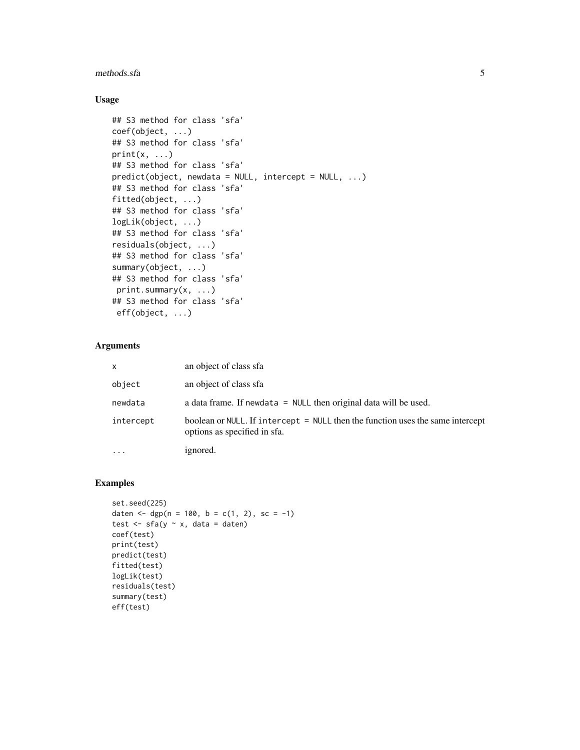#### methods.sfa 5

### Usage

```
## S3 method for class 'sfa'
coef(object, ...)
## S3 method for class 'sfa'
print(x, \ldots)## S3 method for class 'sfa'
predict(object, newdata = NULL, intercept = NULL, ...)
## S3 method for class 'sfa'
fitted(object, ...)
## S3 method for class 'sfa'
logLik(object, ...)
## S3 method for class 'sfa'
residuals(object, ...)
## S3 method for class 'sfa'
summary(object, ...)
## S3 method for class 'sfa'
print.summary(x, ...)
## S3 method for class 'sfa'
eff(object, ...)
```
### Arguments

| $\mathsf{x}$ | an object of class sfa                                                                                         |
|--------------|----------------------------------------------------------------------------------------------------------------|
| object       | an object of class sfa                                                                                         |
| newdata      | a data frame. If newdata $=$ NULL then original data will be used.                                             |
| intercept    | boolean or NULL. If intercept = NULL then the function uses the same intercept<br>options as specified in sfa. |
| $\cdots$     | ignored.                                                                                                       |

# Examples

```
set.seed(225)
daten <- dgp(n = 100, b = c(1, 2), sc = -1)
test \leq sfa(y \sim x, data = daten)
coef(test)
print(test)
predict(test)
fitted(test)
logLik(test)
residuals(test)
summary(test)
eff(test)
```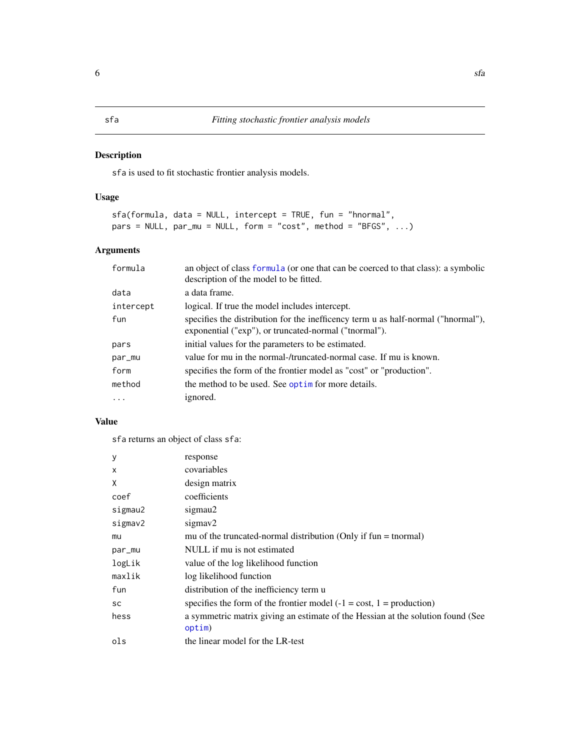#### <span id="page-5-1"></span><span id="page-5-0"></span>Description

sfa is used to fit stochastic frontier analysis models.

# Usage

```
sfa(formula, data = NULL, intercept = TRUE, fun = "hnormal",
pars = NULL, par_mu = NULL, form = "cost", method = "BFGS", ...)
```
# Arguments

| formula   | an object of class formula (or one that can be coerced to that class): a symbolic<br>description of the model to be fitted.                |
|-----------|--------------------------------------------------------------------------------------------------------------------------------------------|
| data      | a data frame.                                                                                                                              |
| intercept | logical. If true the model includes intercept.                                                                                             |
| fun       | specifies the distribution for the inefficency term u as half-normal ("hnormal"),<br>exponential ("exp"), or truncated-normal ("tnormal"). |
| pars      | initial values for the parameters to be estimated.                                                                                         |
| par_mu    | value for mu in the normal-/truncated-normal case. If mu is known.                                                                         |
| form      | specifies the form of the frontier model as "cost" or "production".                                                                        |
| method    | the method to be used. See optim for more details.                                                                                         |
| .         | ignored.                                                                                                                                   |

# Value

sfa returns an object of class sfa:

| у         | response                                                                                  |
|-----------|-------------------------------------------------------------------------------------------|
| X         | covariables                                                                               |
| X         | design matrix                                                                             |
| coef      | coefficients                                                                              |
| sigmau2   | sigmau2                                                                                   |
| sigmav2   | sigmay2                                                                                   |
| mu        | mu of the truncated-normal distribution (Only if $fun = normal$ )                         |
| par_mu    | NULL if mu is not estimated                                                               |
| logLik    | value of the log likelihood function                                                      |
| maxlik    | log likelihood function                                                                   |
| fun       | distribution of the inefficiency term u                                                   |
| <b>SC</b> | specifies the form of the frontier model $(-1 = \text{cost}, 1 = \text{production})$      |
| hess      | a symmetric matrix giving an estimate of the Hessian at the solution found (See<br>optim) |
| ols       | the linear model for the LR-test                                                          |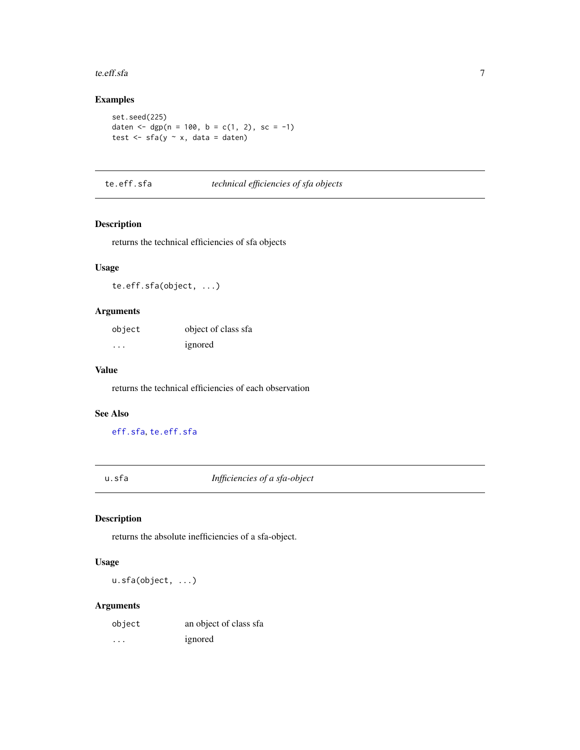#### <span id="page-6-0"></span>te.eff.sfa 7

# Examples

```
set.seed(225)
daten <- dgp(n = 100, b = c(1, 2), sc = -1)
test \leq sfa(y \sim x, data = daten)
```
# <span id="page-6-1"></span>te.eff.sfa *technical efficiencies of sfa objects*

# Description

returns the technical efficiencies of sfa objects

#### Usage

te.eff.sfa(object, ...)

#### Arguments

| object   | object of class sfa |
|----------|---------------------|
| $\cdots$ | ignored             |

# Value

returns the technical efficiencies of each observation

#### See Also

[eff.sfa](#page-3-1), [te.eff.sfa](#page-6-1)

u.sfa *Infficiencies of a sfa-object*

#### Description

returns the absolute inefficiencies of a sfa-object.

# Usage

u.sfa(object, ...)

#### Arguments

| object | an object of class sfa |
|--------|------------------------|
| .      | ignored                |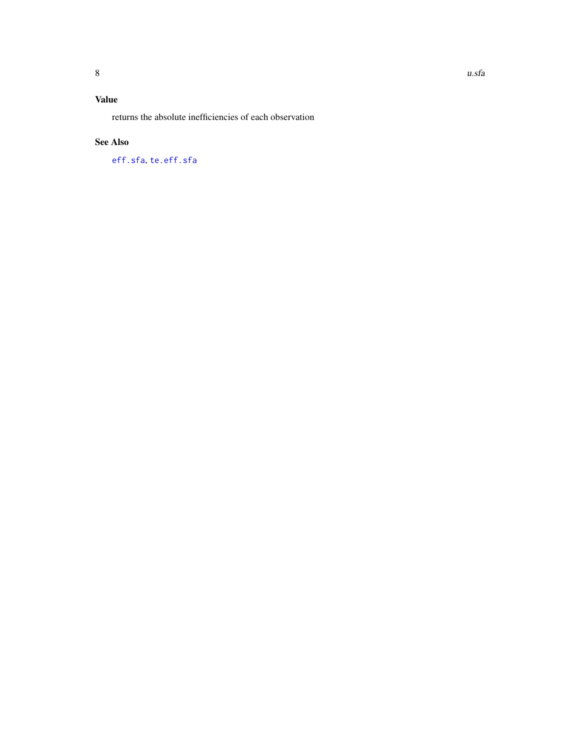# <span id="page-7-0"></span>Value

returns the absolute inefficiencies of each observation

### See Also

[eff.sfa](#page-3-1), [te.eff.sfa](#page-6-1)